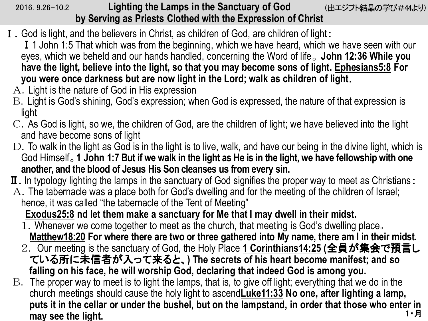## 2016. 9.26-10.2 **Lighting the Lamps in the Sanctuary of God** (出エジプト結晶の学び#44より) **by Serving as Priests Clothed with the Expression of Christ**

- Ⅰ.God is light, and the believers in Christ, as children of God, are children of light:
	- **I** 1 John 1:5 That which was from the beginning, which we have heard, which we have seen with our eyes, which we beheld and our hands handled, concerning the Word of life。 **John 12:36 While you have the light, believe into the light, so that you may become sons of light. Ephesians5:8 For you were once darkness but are now light in the Lord; walk as children of light**.
	- A.Light is the nature of God in His expression
	- B.Light is God's shining, God's expression; when God is expressed, the nature of that expression is light
	- C.As God is light, so we, the children of God, are the children of light; we have believed into the light and have become sons of light
	- D. To walk in the light as God is in the light is to live, walk, and have our being in the divine light, which is God Himself。**1 John 1:7 But if we walk in the light as He is in the light, we have fellowship with one another, and the blood of Jesus His Son cleanses us from every sin.**
- I. In typology lighting the lamps in the sanctuary of God signifies the proper way to meet as Christians:
- A.The tabernacle was a place both for God's dwelling and for the meeting of the children of Israel; hence, it was called "the tabernacle of the Tent of Meeting"

**Exodus25:8 nd let them make a sanctuary for Me that I may dwell in their midst.**

- 1.Whenever we come together to meet as the church, that meeting is God's dwelling place。 **Matthew18:20 For where there are two or three gathered into My name, there am I in their midst.**
- 2. Our meeting is the sanctuary of God, the Holy Place **1 Corinthians14:25 (**全員が集会で預言し ている所に未信者が入って来ると、**) The secrets of his heart become manifest; and so falling on his face, he will worship God, declaring that indeed God is among you.**
- B. The proper way to meet is to light the lamps, that is, to give off light; everything that we do in the church meetings should cause the holy light to ascend**Luke11:33 No one, after lighting a lamp, puts it in the cellar or under the bushel, but on the lampstand, in order that those who enter in**  may see the light.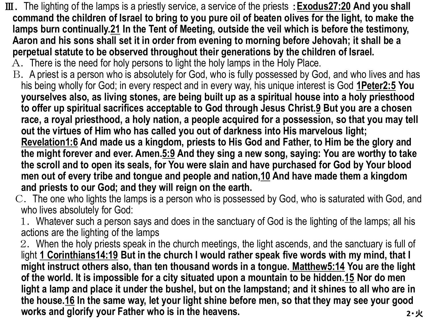- Ⅲ. The lighting of the lamps is a priestly service, a service of the priests :**Exodus27:20 And you shall command the children of Israel to bring to you pure oil of beaten olives for the light, to make the lamps burn continually.21 In the Tent of Meeting, outside the veil which is before the testimony, Aaron and his sons shall set it in order from evening to morning before Jehovah; it shall be a perpetual statute to be observed throughout their generations by the children of Israel.**
	- A. There is the need for holy persons to light the holy lamps in the Holy Place.
	- B. A priest is a person who is absolutely for God, who is fully possessed by God, and who lives and has his being wholly for God; in every respect and in every way, his unique interest is God **1Peter2:5 You yourselves also, as living stones, are being built up as a spiritual house into a holy priesthood to offer up spiritual sacrifices acceptable to God through Jesus Christ.9 But you are a chosen race, a royal priesthood, a holy nation, a people acquired for a possession, so that you may tell out the virtues of Him who has called you out of darkness into His marvelous light; Revelation1:6 And made us a kingdom, priests to His God and Father, to Him be the glory and the might forever and ever. Amen.5:9 And they sing a new song, saying: You are worthy to take the scroll and to open its seals, for You were slain and have purchased for God by Your blood men out of every tribe and tongue and people and nation,10 And have made them a kingdom and priests to our God; and they will reign on the earth.**
	- C. The one who lights the lamps is a person who is possessed by God, who is saturated with God, and who lives absolutely for God:
	- 1. Whatever such a person says and does in the sanctuary of God is the lighting of the lamps; all his actions are the lighting of the lamps
	- **2**・火 2. When the holy priests speak in the church meetings, the light ascends, and the sanctuary is full of light **1 Corinthians14:19 But in the church I would rather speak five words with my mind, that I might instruct others also, than ten thousand words in a tongue. Matthew5:14 You are the light of the world. It is impossible for a city situated upon a mountain to be hidden.15 Nor do men light a lamp and place it under the bushel, but on the lampstand; and it shines to all who are in the house.16 In the same way, let your light shine before men, so that they may see your good works and glorify your Father who is in the heavens.**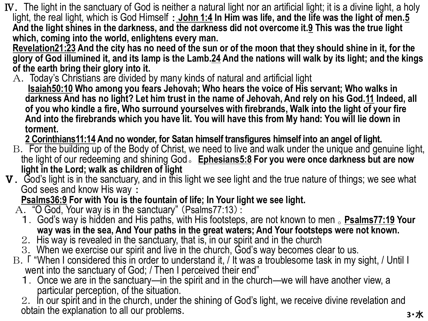- Ⅳ. The light in the sanctuary of God is neither a natural light nor an artificial light; it is a divine light, a holy light, the real light, which is God Himself : **John 1:4 In Him was life, and the life was the light of men.5 And the light shines in the darkness, and the darkness did not overcome it.9 This was the true light which, coming into the world, enlightens every man.**
	- **Revelation21:23 And the city has no need of the sun or of the moon that they should shine in it, for the glory of God illumined it, and its lamp is the Lamb.24 And the nations will walk by its light; and the kings of the earth bring their glory into it.**
	- A. Today's Christians are divided by many kinds of natural and artificial light **Isaiah50:10 Who among you fears Jehovah; Who hears the voice of His servant; Who walks in darkness And has no light? Let him trust in the name of Jehovah, And rely on his God.11 Indeed, all of you who kindle a fire, Who surround yourselves with firebrands, Walk into the light of your fire And into the firebrands which you have lit. You will have this from My hand: You will lie down in torment.**

**2 Corinthians11:14 And no wonder, for Satan himself transfigures himself into an angel of light.**

- B. For the building up of the Body of Christ, we need to live and walk under the unique and genuine light, the light of our redeeming and shining God。**Ephesians5:8 For you were once darkness but are now light in the Lord; walk as children of light**
- Ⅴ. God's light is in the sanctuary, and in this light we see light and the true nature of things; we see what God sees and know His way :

**Psalms36:9 For with You is the fountain of life; In Your light we see light.**

- A. "O God, Your way is in the sanctuary" (Psalms77:13):
	- 1.God's way is hidden and His paths, with His footsteps, are not known to men 。**Psalms77:19 Your way was in the sea, And Your paths in the great waters; And Your footsteps were not known.**
	- 2. His way is revealed in the sanctuary, that is, in our spirit and in the church
	- 3. When we exercise our spirit and live in the church, God's way becomes clear to us.
- B. F "When I considered this in order to understand it, / It was a troublesome task in my sight, / Until I went into the sanctuary of God; / Then I perceived their end"
	- 1.Once we are in the sanctuary—in the spirit and in the church—we will have another view, a particular perception, of the situation.

**3**・水 2. In our spirit and in the church, under the shining of God's light, we receive divine revelation and obtain the explanation to all our problems.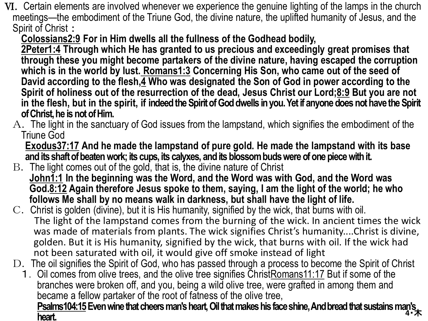- Ⅵ. Certain elements are involved whenever we experience the genuine lighting of the lamps in the church meetings—the embodiment of the Triune God, the divine nature, the uplifted humanity of Jesus, and the Spirit of Christ:
	- **Colossians2:9 For in Him dwells all the fullness of the Godhead bodily,**

**2Peter1:4 Through which He has granted to us precious and exceedingly great promises that through these you might become partakers of the divine nature, having escaped the corruption which is in the world by lust. Romans1:3 Concerning His Son, who came out of the seed of David according to the flesh,4 Who was designated the Son of God in power according to the Spirit of holiness out of the resurrection of the dead, Jesus Christ our Lord;8:9 But you are not in the flesh, but in the spirit, if indeed the Spirit of God dwells in you. Yet if anyone does not have the Spirit of Christ, he is not of Him.**

 $A.$  The light in the sanctuary of God issues from the lampstand, which signifies the embodiment of the Triune God

**Exodus37:17 And he made the lampstand of pure gold. He made the lampstand with its base and its shaft of beaten work; its cups, its calyxes, and its blossom buds were of one piece with it.**

- B. The light comes out of the gold, that is, the divine nature of Christ **John1:1 In the beginning was the Word, and the Word was with God, and the Word was God.8:12 Again therefore Jesus spoke to them, saying, I am the light of the world; he who follows Me shall by no means walk in darkness, but shall have the light of life.**
- C. Christ is golden (divine), but it is His humanity, signified by the wick, that burns with oil. The light of the lampstand comes from the burning of the wick. In ancient times the wick was made of materials from plants. The wick signifies Christ's humanity....Christ is divine, golden. But it is His humanity, signified by the wick, that burns with oil. If the wick had not been saturated with oil, it would give off smoke instead of light
- D. The oil signifies the Spirit of God, who has passed through a process to become the Spirit of Christ
	- 1. Oil comes from olive trees, and the olive tree signifies ChristRomans 11:17 But if some of the branches were broken off, and you, being a wild olive tree, were grafted in among them and became a fellow partaker of the root of fatness of the olive tree,

**4**・木 **Psalms104:15Even wine that cheers man's heart, Oil that makes his face shine, And bread that sustains man's heart.**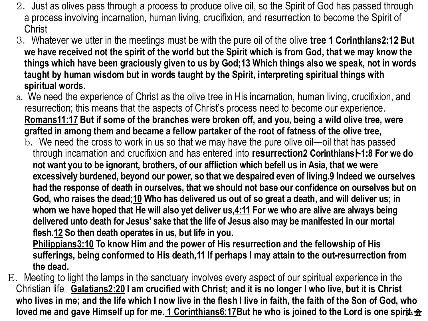- 2. Just as olives pass through a process to produce olive oil, so the Spirit of God has passed through a process involving incarnation, human living, crucifixion, and resurrection to become the Spirit of **Christ**
- 3. Whatever we utter in the meetings must be with the pure oil of the olive **tree 1 Corinthians2:12 But we have received not the spirit of the world but the Spirit which is from God, that we may know the things which have been graciously given to us by God;13 Which things also we speak, not in words taught by human wisdom but in words taught by the Spirit, interpreting spiritual things with spiritual words.**
- a.We need the experience of Christ as the olive tree in His incarnation, human living, crucifixion, and resurrection; this means that the aspects of Christ's process need to become our experience. **Romans11:17 But if some of the branches were broken off, and you, being a wild olive tree, were grafted in among them and became a fellow partaker of the root of fatness of the olive tree,**
	- b. We need the cross to work in us so that we may have the pure olive oil—oil that has passed through incarnation and crucifixion and has entered into **resurrection2 Corinthians**ト**1:8 For we do not want you to be ignorant, brothers, of our affliction which befell us in Asia, that we were excessively burdened, beyond our power, so that we despaired even of living.9 Indeed we ourselves had the response of death in ourselves, that we should not base our confidence on ourselves but on God, who raises the dead;10 Who has delivered us out of so great a death, and will deliver us; in whom we have hoped that He will also yet deliver us,4:11 For we who are alive are always being delivered unto death for Jesus' sake that the life of Jesus also may be manifested in our mortal flesh.12 So then death operates in us, but life in you.**

**Philippians3:10 To know Him and the power of His resurrection and the fellowship of His sufferings, being conformed to His death,11 If perhaps I may attain to the out-resurrection from the dead.**

E. Meeting to light the lamps in the sanctuary involves every aspect of our spiritual experience in the Christian life。**Galatians2:20 I am crucified with Christ; and it is no longer I who live, but it is Christ who lives in me; and the life which I now live in the flesh I live in faith, the faith of the Son of God, who loved me and gave Himself up for me. 1 Corinthians6:17But he who is joined to the Lord is one spirit. 金**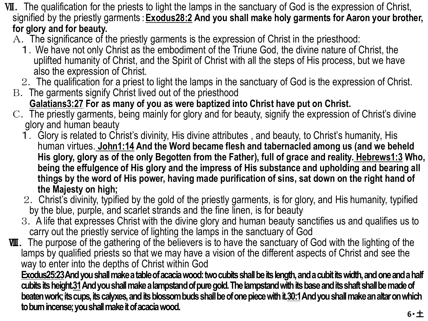- Ⅶ. The qualification for the priests to light the lamps in the sanctuary of God is the expression of Christ, signified by the priestly garments:**Exodus28:2 And you shall make holy garments for Aaron your brother, for glory and for beauty.**
	- A. The significance of the priestly garments is the expression of Christ in the priesthood:
		- 1.We have not only Christ as the embodiment of the Triune God, the divine nature of Christ, the uplifted humanity of Christ, and the Spirit of Christ with all the steps of His process, but we have also the expression of Christ.
		- 2. The qualification for a priest to light the lamps in the sanctuary of God is the expression of Christ.
	- B. The garments signify Christ lived out of the priesthood **Galatians3:27 For as many of you as were baptized into Christ have put on Christ.**
	- C. The priestly garments, being mainly for glory and for beauty, signify the expression of Christ's divine glory and human beauty
		- 1. Glory is related to Christ's divinity, His divine attributes , and beauty, to Christ's humanity, His human virtues. **John1:14 And the Word became flesh and tabernacled among us (and we beheld His glory, glory as of the only Begotten from the Father), full of grace and reality. Hebrews1:3 Who, being the effulgence of His glory and the impress of His substance and upholding and bearing all things by the word of His power, having made purification of sins, sat down on the right hand of the Majesty on high;**
		- 2. Christ's divinity, typified by the gold of the priestly garments, is for glory, and His humanity, typified by the blue, purple, and scarlet strands and the fine linen, is for beauty
		- 3. A life that expresses Christ with the divine glory and human beauty sanctifies us and qualifies us to carry out the priestly service of lighting the lamps in the sanctuary of God
- **WI.** The purpose of the gathering of the believers is to have the sanctuary of God with the lighting of the lamps by qualified priests so that we may have a vision of the different aspects of Christ and see the way to enter into the depths of Christ within God

**Exodus25:23And you shall make a table of acacia wood: two cubits shall be its length, and a cubit its width, and one and a half cubits its height.31And you shall make a lampstand of pure gold. The lampstand with its base and its shaft shall be made of beaten work; its cups, its calyxes, and its blossom buds shall be of one piece with it.30:1And you shall make an altar on which to burn incense; you shall make it of acacia wood.**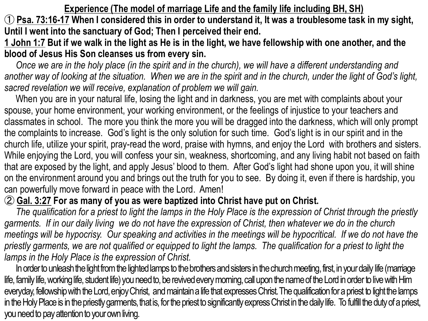**Experience (The model of marriage Life and the family life including BH, SH)** ① **Psa. 73:16-17 When I considered this in order to understand it, It was a troublesome task in my sight, Until I went into the sanctuary of God; Then I perceived their end.**

**1 John 1:7 But if we walk in the light as He is in the light, we have fellowship with one another, and the blood of Jesus His Son cleanses us from every sin.**

*Once we are in the holy place (in the spirit and in the church), we will have a different understanding and another way of looking at the situation. When we are in the spirit and in the church, under the light of God's light, sacred revelation we will receive, explanation of problem we will gain.*

When you are in your natural life, losing the light and in darkness, you are met with complaints about your spouse, your home environment, your working environment, or the feelings of injustice to your teachers and classmates in school. The more you think the more you will be dragged into the darkness, which will only prompt the complaints to increase. God's light is the only solution for such time. God's light is in our spirit and in the church life, utilize your spirit, pray-read the word, praise with hymns, and enjoy the Lord with brothers and sisters. While enjoying the Lord, you will confess your sin, weakness, shortcoming, and any living habit not based on faith that are exposed by the light, and apply Jesus' blood to them. After God's light had shone upon you, it will shine on the environment around you and brings out the truth for you to see. By doing it, even if there is hardship, you can powerfully move forward in peace with the Lord. Amen!

## ② **Gal. 3:27 For as many of you as were baptized into Christ have put on Christ.**

*The qualification for a priest to light the lamps in the Holy Place is the expression of Christ through the priestly garments. If in our daily living we do not have the expression of Christ, then whatever we do in the church meetings will be hypocrisy. Our speaking and activities in the meetings will be hypocritical. If we do not have the priestly garments, we are not qualified or equipped to light the lamps. The qualification for a priest to light the lamps in the Holy Place is the expression of Christ.* 

In order to unleash the light from the lighted lamps to the brothers and sisters in the church meeting, first, in your daily life (marriage life, family life, working life, student life) you need to, be revived every moming, call upon the name of the Lord in order to live with Him everyday, fellowship with the Lord, enjoy Christ, and maintain a life that expresses Christ. The qualification for a priest to light the lamps in the Holy Place is in the priestly garments, that is, for the priest to significantly express Christ in the daily life. To fulfill the duty of a priest, you need to pay attention to your own living.